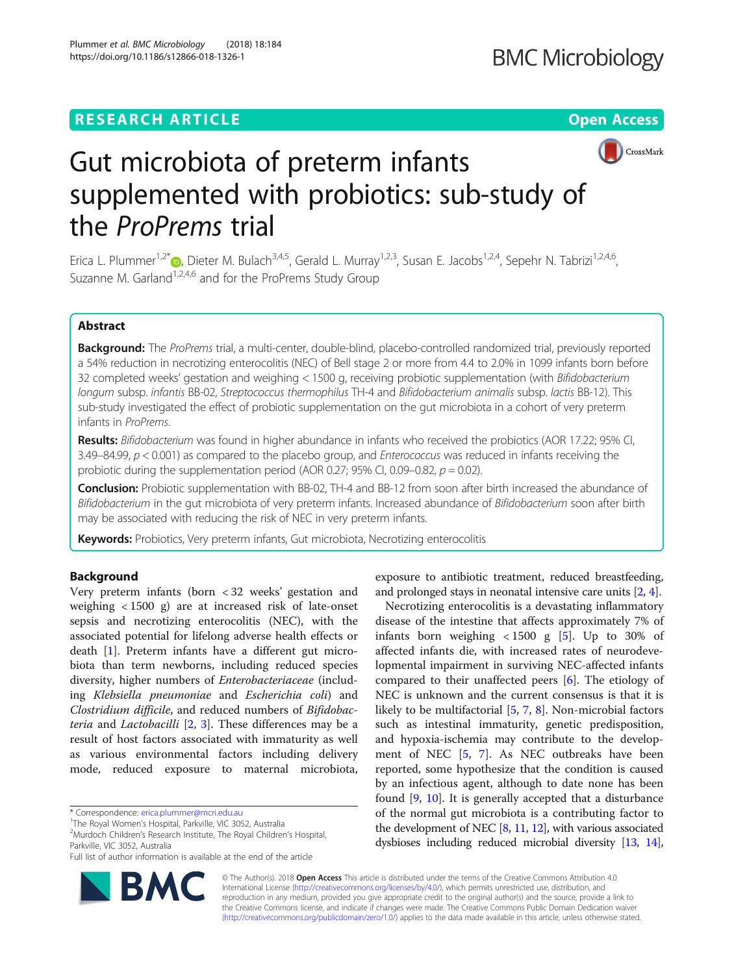## **RESEARCH ARTICLE Example 2014 12:30 The Open Access**



# Gut microbiota of preterm infants supplemented with probiotics: sub-study of the ProP[re](http://orcid.org/0000-0001-5710-2671)ms trial

Erica L. Plummer<sup>1,2\*</sup> (D. Dieter M. Bulach<sup>3,4,5</sup>, Gerald L. Murray<sup>1,2,3</sup>, Susan E. Jacobs<sup>1,2,4</sup>, Sepehr N. Tabrizi<sup>1,2,4,6</sup>, Suzanne M. Garland<sup>1,2,4,6</sup> and for the ProPrems Study Group

## Abstract

Background: The ProPrems trial, a multi-center, double-blind, placebo-controlled randomized trial, previously reported a 54% reduction in necrotizing enterocolitis (NEC) of Bell stage 2 or more from 4.4 to 2.0% in 1099 infants born before 32 completed weeks' gestation and weighing < 1500 g, receiving probiotic supplementation (with Bifidobacterium longum subsp. infantis BB-02, Streptococcus thermophilus TH-4 and Bifidobacterium animalis subsp. lactis BB-12). This sub-study investigated the effect of probiotic supplementation on the gut microbiota in a cohort of very preterm infants in ProPrems.

Results: Bifidobacterium was found in higher abundance in infants who received the probiotics (AOR 17.22; 95% CI, 3.49–84.99,  $p < 0.001$ ) as compared to the placebo group, and *Enterococcus* was reduced in infants receiving the probiotic during the supplementation period (AOR 0.27; 95% CI, 0.09–0.82,  $p = 0.02$ ).

Conclusion: Probiotic supplementation with BB-02, TH-4 and BB-12 from soon after birth increased the abundance of Bifidobacterium in the gut microbiota of very preterm infants. Increased abundance of Bifidobacterium soon after birth may be associated with reducing the risk of NEC in very preterm infants.

Keywords: Probiotics, Very preterm infants, Gut microbiota, Necrotizing enterocolitis

## Background

Very preterm infants (born < 32 weeks' gestation and weighing < 1500 g) are at increased risk of late-onset sepsis and necrotizing enterocolitis (NEC), with the associated potential for lifelong adverse health effects or death [\[1](#page-6-0)]. Preterm infants have a different gut microbiota than term newborns, including reduced species diversity, higher numbers of Enterobacteriaceae (including Klebsiella pneumoniae and Escherichia coli) and Clostridium difficile, and reduced numbers of Bifidobacteria and Lactobacilli [\[2](#page-6-0), [3\]](#page-6-0). These differences may be a result of host factors associated with immaturity as well as various environmental factors including delivery mode, reduced exposure to maternal microbiota,

Full list of author information is available at the end of the article



exposure to antibiotic treatment, reduced breastfeeding, and prolonged stays in neonatal intensive care units [\[2](#page-6-0), [4\]](#page-6-0).

Necrotizing enterocolitis is a devastating inflammatory disease of the intestine that affects approximately 7% of infants born weighing  $< 1500$  g [\[5](#page-6-0)]. Up to 30% of affected infants die, with increased rates of neurodevelopmental impairment in surviving NEC-affected infants compared to their unaffected peers [\[6\]](#page-6-0). The etiology of NEC is unknown and the current consensus is that it is likely to be multifactorial [\[5](#page-6-0), [7](#page-6-0), [8\]](#page-6-0). Non-microbial factors such as intestinal immaturity, genetic predisposition, and hypoxia-ischemia may contribute to the development of NEC [\[5](#page-6-0), [7\]](#page-6-0). As NEC outbreaks have been reported, some hypothesize that the condition is caused by an infectious agent, although to date none has been found [\[9](#page-7-0), [10\]](#page-7-0). It is generally accepted that a disturbance of the normal gut microbiota is a contributing factor to the development of NEC [\[8,](#page-6-0) [11,](#page-7-0) [12\]](#page-7-0), with various associated dysbioses including reduced microbial diversity [\[13,](#page-7-0) [14](#page-7-0)],

© The Author(s). 2018 Open Access This article is distributed under the terms of the Creative Commons Attribution 4.0 International License [\(http://creativecommons.org/licenses/by/4.0/](http://creativecommons.org/licenses/by/4.0/)), which permits unrestricted use, distribution, and reproduction in any medium, provided you give appropriate credit to the original author(s) and the source, provide a link to the Creative Commons license, and indicate if changes were made. The Creative Commons Public Domain Dedication waiver [\(http://creativecommons.org/publicdomain/zero/1.0/](http://creativecommons.org/publicdomain/zero/1.0/)) applies to the data made available in this article, unless otherwise stated.

<sup>\*</sup> Correspondence: [erica.plummer@mcri.edu.au](mailto:erica.plummer@mcri.edu.au) <sup>1</sup>

<sup>&</sup>lt;sup>1</sup>The Royal Women's Hospital, Parkville, VIC 3052, Australia

<sup>&</sup>lt;sup>2</sup>Murdoch Children's Research Institute, The Royal Children's Hospital, Parkville, VIC 3052, Australia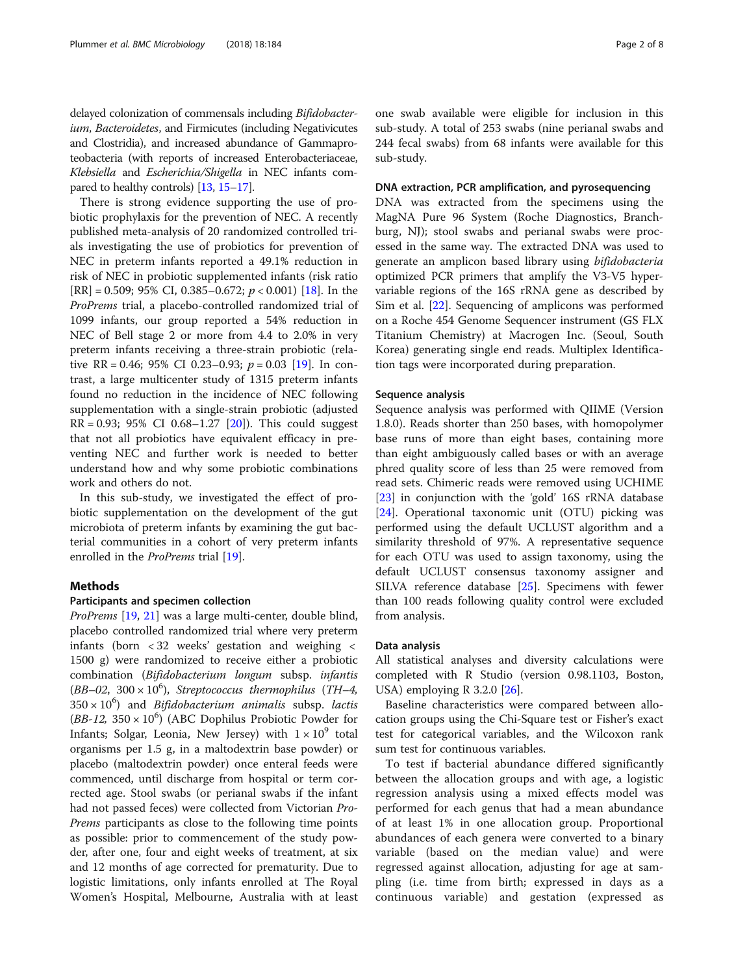delayed colonization of commensals including Bifidobacterium, Bacteroidetes, and Firmicutes (including Negativicutes and Clostridia), and increased abundance of Gammaproteobacteria (with reports of increased Enterobacteriaceae, Klebsiella and Escherichia/Shigella in NEC infants compared to healthy controls) [\[13](#page-7-0), [15](#page-7-0)–[17\]](#page-7-0).

There is strong evidence supporting the use of probiotic prophylaxis for the prevention of NEC. A recently published meta-analysis of 20 randomized controlled trials investigating the use of probiotics for prevention of NEC in preterm infants reported a 49.1% reduction in risk of NEC in probiotic supplemented infants (risk ratio  $[RR] = 0.509$ ; 95% CI, 0.385–0.672;  $p < 0.001$ )  $[18]$  $[18]$ . In the ProPrems trial, a placebo-controlled randomized trial of 1099 infants, our group reported a 54% reduction in NEC of Bell stage 2 or more from 4.4 to 2.0% in very preterm infants receiving a three-strain probiotic (relative RR = 0.46; 95% CI 0.23–0.93;  $p = 0.03$  [[19\]](#page-7-0). In contrast, a large multicenter study of 1315 preterm infants found no reduction in the incidence of NEC following supplementation with a single-strain probiotic (adjusted  $RR = 0.93$ ; 95% CI 0.68–1.27 [[20\]](#page-7-0)). This could suggest that not all probiotics have equivalent efficacy in preventing NEC and further work is needed to better understand how and why some probiotic combinations work and others do not.

In this sub-study, we investigated the effect of probiotic supplementation on the development of the gut microbiota of preterm infants by examining the gut bacterial communities in a cohort of very preterm infants enrolled in the *ProPrems* trial [[19](#page-7-0)].

## Methods

## Participants and specimen collection

ProPrems [[19](#page-7-0), [21](#page-7-0)] was a large multi-center, double blind, placebo controlled randomized trial where very preterm infants (born < 32 weeks' gestation and weighing < 1500 g) were randomized to receive either a probiotic combination (Bifidobacterium longum subsp. infantis  $(BB-02, 300 \times 10^6)$ , Streptococcus thermophilus (TH-4,  $350 \times 10^6$ ) and *Bifidobacterium animalis* subsp. *lactis* (BB-12,  $350 \times 10^6$ ) (ABC Dophilus Probiotic Powder for Infants; Solgar, Leonia, New Jersey) with  $1 \times 10^9$  total organisms per 1.5 g, in a maltodextrin base powder) or placebo (maltodextrin powder) once enteral feeds were commenced, until discharge from hospital or term corrected age. Stool swabs (or perianal swabs if the infant had not passed feces) were collected from Victorian Pro-Prems participants as close to the following time points as possible: prior to commencement of the study powder, after one, four and eight weeks of treatment, at six and 12 months of age corrected for prematurity. Due to logistic limitations, only infants enrolled at The Royal Women's Hospital, Melbourne, Australia with at least one swab available were eligible for inclusion in this sub-study. A total of 253 swabs (nine perianal swabs and 244 fecal swabs) from 68 infants were available for this sub-study.

## DNA extraction, PCR amplification, and pyrosequencing

DNA was extracted from the specimens using the MagNA Pure 96 System (Roche Diagnostics, Branchburg, NJ); stool swabs and perianal swabs were processed in the same way. The extracted DNA was used to generate an amplicon based library using bifidobacteria optimized PCR primers that amplify the V3-V5 hypervariable regions of the 16S rRNA gene as described by Sim et al. [\[22\]](#page-7-0). Sequencing of amplicons was performed on a Roche 454 Genome Sequencer instrument (GS FLX Titanium Chemistry) at Macrogen Inc. (Seoul, South Korea) generating single end reads. Multiplex Identification tags were incorporated during preparation.

## Sequence analysis

Sequence analysis was performed with QIIME (Version 1.8.0). Reads shorter than 250 bases, with homopolymer base runs of more than eight bases, containing more than eight ambiguously called bases or with an average phred quality score of less than 25 were removed from read sets. Chimeric reads were removed using UCHIME [[23\]](#page-7-0) in conjunction with the 'gold' 16S rRNA database [[24\]](#page-7-0). Operational taxonomic unit (OTU) picking was performed using the default UCLUST algorithm and a similarity threshold of 97%. A representative sequence for each OTU was used to assign taxonomy, using the default UCLUST consensus taxonomy assigner and SILVA reference database [\[25](#page-7-0)]. Specimens with fewer than 100 reads following quality control were excluded from analysis.

## Data analysis

All statistical analyses and diversity calculations were completed with R Studio (version 0.98.1103, Boston, USA) employing R 3.2.0 [[26](#page-7-0)].

Baseline characteristics were compared between allocation groups using the Chi-Square test or Fisher's exact test for categorical variables, and the Wilcoxon rank sum test for continuous variables.

To test if bacterial abundance differed significantly between the allocation groups and with age, a logistic regression analysis using a mixed effects model was performed for each genus that had a mean abundance of at least 1% in one allocation group. Proportional abundances of each genera were converted to a binary variable (based on the median value) and were regressed against allocation, adjusting for age at sampling (i.e. time from birth; expressed in days as a continuous variable) and gestation (expressed as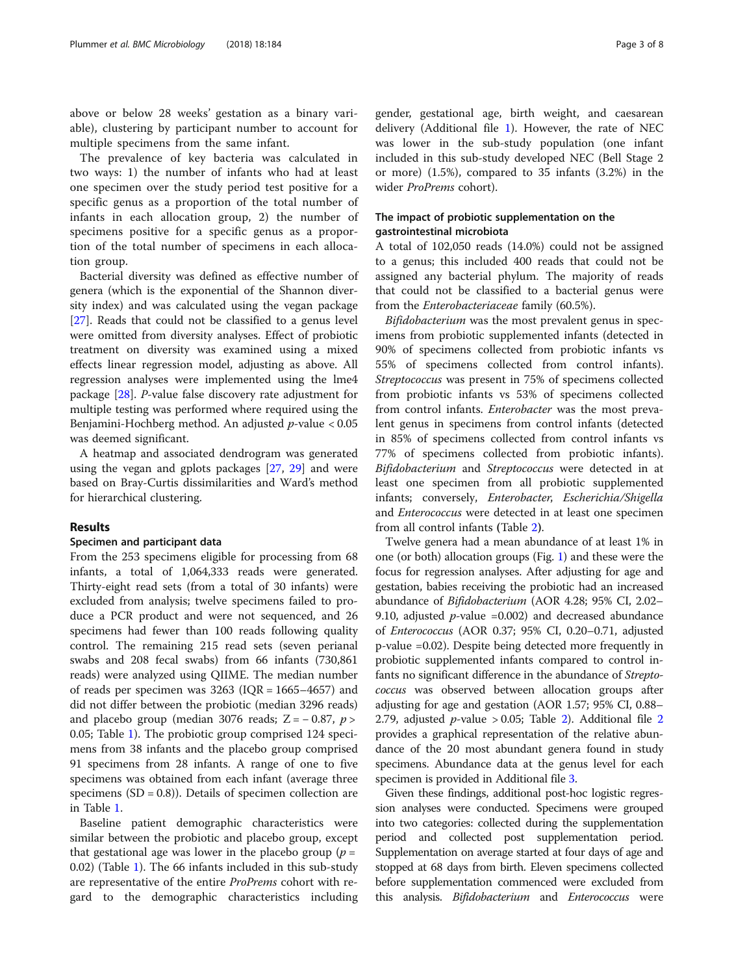above or below 28 weeks' gestation as a binary variable), clustering by participant number to account for multiple specimens from the same infant.

The prevalence of key bacteria was calculated in two ways: 1) the number of infants who had at least one specimen over the study period test positive for a specific genus as a proportion of the total number of infants in each allocation group, 2) the number of specimens positive for a specific genus as a proportion of the total number of specimens in each allocation group.

Bacterial diversity was defined as effective number of genera (which is the exponential of the Shannon diversity index) and was calculated using the vegan package [[27\]](#page-7-0). Reads that could not be classified to a genus level were omitted from diversity analyses. Effect of probiotic treatment on diversity was examined using a mixed effects linear regression model, adjusting as above. All regression analyses were implemented using the lme4 package [[28\]](#page-7-0). P-value false discovery rate adjustment for multiple testing was performed where required using the Benjamini-Hochberg method. An adjusted  $p$ -value  $< 0.05$ was deemed significant.

A heatmap and associated dendrogram was generated using the vegan and gplots packages [[27,](#page-7-0) [29\]](#page-7-0) and were based on Bray-Curtis dissimilarities and Ward's method for hierarchical clustering.

## Results

## Specimen and participant data

From the 253 specimens eligible for processing from 68 infants, a total of 1,064,333 reads were generated. Thirty-eight read sets (from a total of 30 infants) were excluded from analysis; twelve specimens failed to produce a PCR product and were not sequenced, and 26 specimens had fewer than 100 reads following quality control. The remaining 215 read sets (seven perianal swabs and 208 fecal swabs) from 66 infants (730,861 reads) were analyzed using QIIME. The median number of reads per specimen was  $3263$  (IQR = 1665–4657) and did not differ between the probiotic (median 3296 reads) and placebo group (median 3076 reads;  $Z = -0.87$ ,  $p >$ 0.05; Table [1\)](#page-3-0). The probiotic group comprised 124 specimens from 38 infants and the placebo group comprised 91 specimens from 28 infants. A range of one to five specimens was obtained from each infant (average three specimens  $(SD = 0.8)$ . Details of specimen collection are in Table [1.](#page-3-0)

Baseline patient demographic characteristics were similar between the probiotic and placebo group, except that gestational age was lower in the placebo group ( $p =$ 0.02) (Table [1\)](#page-3-0). The 66 infants included in this sub-study are representative of the entire ProPrems cohort with regard to the demographic characteristics including gender, gestational age, birth weight, and caesarean delivery (Additional file [1\)](#page-6-0). However, the rate of NEC was lower in the sub-study population (one infant included in this sub-study developed NEC (Bell Stage 2 or more) (1.5%), compared to 35 infants (3.2%) in the wider ProPrems cohort).

## The impact of probiotic supplementation on the gastrointestinal microbiota

A total of 102,050 reads (14.0%) could not be assigned to a genus; this included 400 reads that could not be assigned any bacterial phylum. The majority of reads that could not be classified to a bacterial genus were from the Enterobacteriaceae family (60.5%).

Bifidobacterium was the most prevalent genus in specimens from probiotic supplemented infants (detected in 90% of specimens collected from probiotic infants vs 55% of specimens collected from control infants). Streptococcus was present in 75% of specimens collected from probiotic infants vs 53% of specimens collected from control infants. Enterobacter was the most prevalent genus in specimens from control infants (detected in 85% of specimens collected from control infants vs 77% of specimens collected from probiotic infants). Bifidobacterium and Streptococcus were detected in at least one specimen from all probiotic supplemented infants; conversely, Enterobacter, Escherichia/Shigella and Enterococcus were detected in at least one specimen from all control infants (Table [2](#page-4-0)).

Twelve genera had a mean abundance of at least 1% in one (or both) allocation groups (Fig. [1](#page-4-0)) and these were the focus for regression analyses. After adjusting for age and gestation, babies receiving the probiotic had an increased abundance of Bifidobacterium (AOR 4.28; 95% CI, 2.02– 9.10, adjusted  $p$ -value =0.002) and decreased abundance of Enterococcus (AOR 0.37; 95% CI, 0.20–0.71, adjusted p-value =0.02). Despite being detected more frequently in probiotic supplemented infants compared to control infants no significant difference in the abundance of Streptococcus was observed between allocation groups after adjusting for age and gestation (AOR 1.57; 95% CI, 0.88– [2](#page-6-0).79, adjusted *p*-value > 0.05; Table [2\)](#page-4-0). Additional file 2 provides a graphical representation of the relative abundance of the 20 most abundant genera found in study specimens. Abundance data at the genus level for each specimen is provided in Additional file [3.](#page-6-0)

Given these findings, additional post-hoc logistic regression analyses were conducted. Specimens were grouped into two categories: collected during the supplementation period and collected post supplementation period. Supplementation on average started at four days of age and stopped at 68 days from birth. Eleven specimens collected before supplementation commenced were excluded from this analysis. *Bifidobacterium* and *Enterococcus* were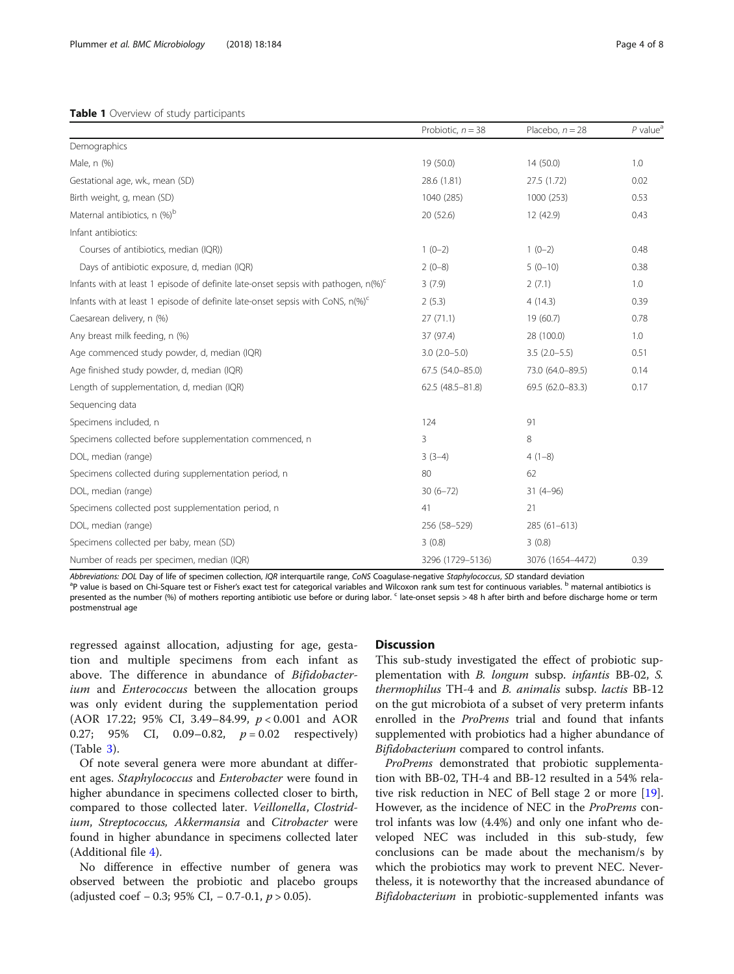## <span id="page-3-0"></span>Table 1 Overview of study participants

|                                                                                             | Probiotic, $n = 38$ | Placebo, $n = 28$ | $P$ value <sup><math>a</math></sup> |
|---------------------------------------------------------------------------------------------|---------------------|-------------------|-------------------------------------|
| Demographics                                                                                |                     |                   |                                     |
| Male, n (%)                                                                                 | 19 (50.0)           | 14(50.0)          | 1.0                                 |
| Gestational age, wk., mean (SD)                                                             | 28.6 (1.81)         | 27.5 (1.72)       | 0.02                                |
| Birth weight, g, mean (SD)                                                                  | 1040 (285)          | 1000 (253)        | 0.53                                |
| Maternal antibiotics, n (%) <sup>b</sup>                                                    | 20 (52.6)           | 12 (42.9)         | 0.43                                |
| Infant antibiotics:                                                                         |                     |                   |                                     |
| Courses of antibiotics, median (IQR))                                                       | $1(0-2)$            | $1(0-2)$          | 0.48                                |
| Days of antibiotic exposure, d, median (IQR)                                                | $2(0-8)$            | $5(0-10)$         | 0.38                                |
| Infants with at least 1 episode of definite late-onset sepsis with pathogen, $n(\%)^c$      | 3(7.9)              | 2(7.1)            | 1.0                                 |
| Infants with at least 1 episode of definite late-onset sepsis with CoNS, $n\%$ <sup>c</sup> | 2(5.3)              | 4(14.3)           | 0.39                                |
| Caesarean delivery, n (%)                                                                   | 27(71.1)            | 19 (60.7)         | 0.78                                |
| Any breast milk feeding, n (%)                                                              | 37 (97.4)           | 28 (100.0)        | 1.0                                 |
| Age commenced study powder, d, median (IQR)                                                 | $3.0(2.0 - 5.0)$    | $3.5(2.0-5.5)$    | 0.51                                |
| Age finished study powder, d, median (IQR)                                                  | 67.5 (54.0-85.0)    | 73.0 (64.0-89.5)  | 0.14                                |
| Length of supplementation, d, median (IQR)                                                  | 62.5 (48.5-81.8)    | 69.5 (62.0-83.3)  | 0.17                                |
| Sequencing data                                                                             |                     |                   |                                     |
| Specimens included, n                                                                       | 124                 | 91                |                                     |
| Specimens collected before supplementation commenced, n                                     | 3                   | 8                 |                                     |
| DOL, median (range)                                                                         | $3(3-4)$            | $4(1-8)$          |                                     |
| Specimens collected during supplementation period, n                                        | 80                  | 62                |                                     |
| DOL, median (range)                                                                         | $30(6-72)$          | $31(4-96)$        |                                     |
| Specimens collected post supplementation period, n                                          | 41                  | 21                |                                     |
| DOL, median (range)                                                                         | 256 (58-529)        | 285 (61-613)      |                                     |
| Specimens collected per baby, mean (SD)                                                     | 3(0.8)              | 3(0.8)            |                                     |
| Number of reads per specimen, median (IQR)                                                  | 3296 (1729-5136)    | 3076 (1654-4472)  | 0.39                                |

Abbreviations: DOL Day of life of specimen collection, IQR interquartile range, CoNS Coagulase-negative Staphylococcus, SD standard deviation <sup>a</sup>P value is based on Chi-Square test or Fisher's exact test for categorical variables and Wilcoxon rank sum test for continuous variables. <sup>b</sup> maternal antibiotics is

presented as the number (%) of mothers reporting antibiotic use before or during labor. <sup>c</sup> late-onset sepsis > 48 h after birth and before discharge home or term postmenstrual age

regressed against allocation, adjusting for age, gestation and multiple specimens from each infant as above. The difference in abundance of Bifidobacterium and *Enterococcus* between the allocation groups was only evident during the supplementation period (AOR 17.22; 95% CI, 3.49–84.99, p < 0.001 and AOR 0.27; 95% CI, 0.09–0.82,  $p = 0.02$  respectively) (Table [3\)](#page-5-0).

Of note several genera were more abundant at different ages. Staphylococcus and Enterobacter were found in higher abundance in specimens collected closer to birth, compared to those collected later. Veillonella, Clostridium, Streptococcus, Akkermansia and Citrobacter were found in higher abundance in specimens collected later (Additional file [4](#page-6-0)).

No difference in effective number of genera was observed between the probiotic and placebo groups (adjusted coef − 0.3; 95% CI, − 0.7-0.1,  $p > 0.05$ ).

## **Discussion**

This sub-study investigated the effect of probiotic supplementation with B. longum subsp. infantis BB-02, S. thermophilus TH-4 and B. animalis subsp. lactis BB-12 on the gut microbiota of a subset of very preterm infants enrolled in the ProPrems trial and found that infants supplemented with probiotics had a higher abundance of Bifidobacterium compared to control infants.

ProPrems demonstrated that probiotic supplementation with BB-02, TH-4 and BB-12 resulted in a 54% relative risk reduction in NEC of Bell stage 2 or more [\[19](#page-7-0)]. However, as the incidence of NEC in the ProPrems control infants was low (4.4%) and only one infant who developed NEC was included in this sub-study, few conclusions can be made about the mechanism/s by which the probiotics may work to prevent NEC. Nevertheless, it is noteworthy that the increased abundance of Bifidobacterium in probiotic-supplemented infants was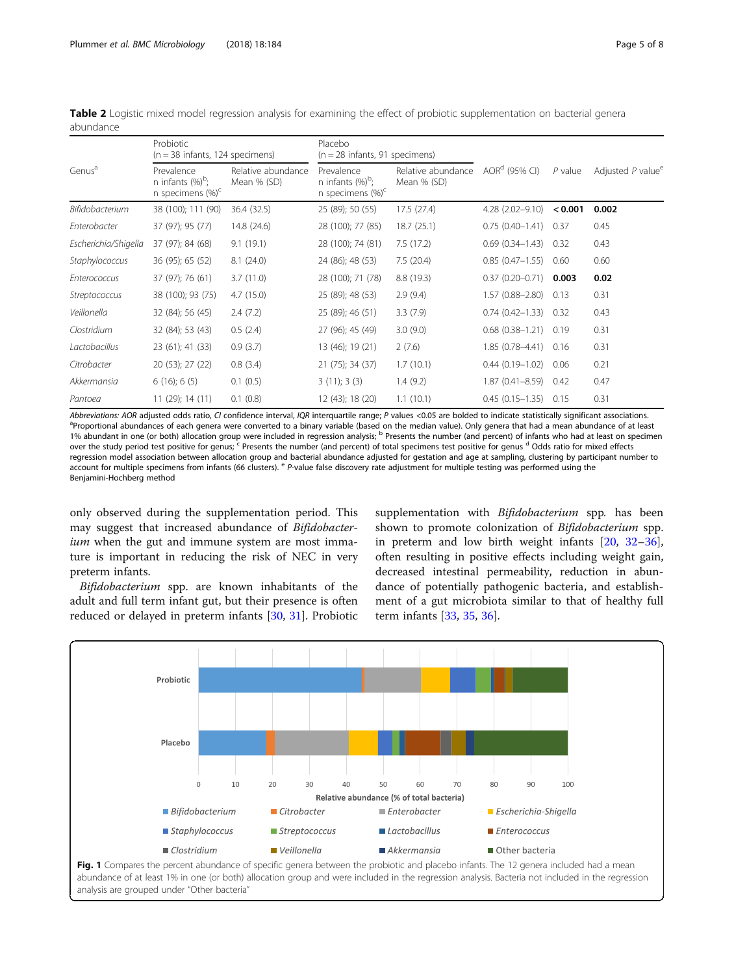| Genus <sup>a</sup>   | Probiotic<br>$(n = 38$ infants, 124 specimens)             |                                   | Placebo<br>$(n = 28$ infants, 91 specimens)                |                                   |                           |           |                                 |
|----------------------|------------------------------------------------------------|-----------------------------------|------------------------------------------------------------|-----------------------------------|---------------------------|-----------|---------------------------------|
|                      | Prevalence<br>n infants $(\%)^b$ ;<br>n specimens $(\%)^c$ | Relative abundance<br>Mean % (SD) | Prevalence<br>n infants $(\%)^b$ ;<br>n specimens $(\%)^c$ | Relative abundance<br>Mean % (SD) | AOR <sup>d</sup> (95% CI) | $P$ value | Adjusted $P$ value <sup>e</sup> |
| Bifidobacterium      | 38 (100); 111 (90)                                         | 36.4 (32.5)                       | 25 (89); 50 (55)                                           | 17.5 (27.4)                       | $4.28(2.02 - 9.10)$       | < 0.001   | 0.002                           |
| Enterobacter         | 37 (97); 95 (77)                                           | 14.8 (24.6)                       | 28 (100); 77 (85)                                          | 18.7(25.1)                        | $0.75(0.40-1.41)$         | 0.37      | 0.45                            |
| Escherichia/Shigella | 37 (97); 84 (68)                                           | 9.1(19.1)                         | 28 (100); 74 (81)                                          | 7.5(17.2)                         | $0.69(0.34 - 1.43)$       | 0.32      | 0.43                            |
| Staphylococcus       | 36 (95); 65 (52)                                           | 8.1(24.0)                         | 24 (86); 48 (53)                                           | 7.5(20.4)                         | $0.85(0.47 - 1.55)$       | 0.60      | 0.60                            |
| Enterococcus         | 37 (97); 76 (61)                                           | 3.7(11.0)                         | 28 (100); 71 (78)                                          | 8.8 (19.3)                        | $0.37(0.20 - 0.71)$       | 0.003     | 0.02                            |
| Streptococcus        | 38 (100); 93 (75)                                          | 4.7(15.0)                         | 25 (89); 48 (53)                                           | 2.9(9.4)                          | $1.57(0.88 - 2.80)$       | 0.13      | 0.31                            |
| Veillonella          | 32 (84); 56 (45)                                           | 2.4(7.2)                          | 25 (89); 46 (51)                                           | 3.3(7.9)                          | $0.74(0.42 - 1.33)$       | 0.32      | 0.43                            |
| Clostridium          | 32 (84); 53 (43)                                           | 0.5(2.4)                          | 27 (96); 45 (49)                                           | 3.0(9.0)                          | $0.68(0.38 - 1.21)$       | 0.19      | 0.31                            |
| Lactobacillus        | 23 (61); 41 (33)                                           | 0.9(3.7)                          | 13 (46); 19 (21)                                           | 2(7.6)                            | $1.85(0.78 - 4.41)$       | 0.16      | 0.31                            |
| Citrobacter          | 20 (53); 27 (22)                                           | 0.8(3.4)                          | 21 (75); 34 (37)                                           | 1.7(10.1)                         | $0.44(0.19 - 1.02)$       | 0.06      | 0.21                            |
| Akkermansia          | $6(16)$ ; 6 $(5)$                                          | 0.1(0.5)                          | 3(11); 3(3)                                                | 1.4(9.2)                          | $1.87(0.41 - 8.59)$       | 0.42      | 0.47                            |
| Pantoea              | 11 (29); 14 (11)                                           | 0.1(0.8)                          | 12 (43); 18 (20)                                           | 1.1(10.1)                         | $0.45(0.15 - 1.35)$       | 0.15      | 0.31                            |

<span id="page-4-0"></span>Table 2 Logistic mixed model regression analysis for examining the effect of probiotic supplementation on bacterial genera abundance

Abbreviations: AOR adjusted odds ratio, CI confidence interval, IQR interquartile range; P values <0.05 are bolded to indicate statistically significant associations. <sup>a</sup> Proportional abundances of each genera were converted to a binary variable (based on the median value). Only genera that had a mean abundance of at least 1% abundant in one (or both) allocation group were included in regression analysis; <sup>b</sup> Presents the number (and percent) of infants who had at least on specimen over the study period test positive for genus; <sup>c</sup> Presents the number (and percent) of total specimens test positive for genus <sup>d</sup> Odds ratio for mixed effects regression model association between allocation group and bacterial abundance adjusted for gestation and age at sampling, clustering by participant number to account for multiple specimens from infants (66 clusters).  $e$  P-value false discovery rate adjustment for multiple testing was performed using the Benjamini-Hochberg method

only observed during the supplementation period. This may suggest that increased abundance of Bifidobacterium when the gut and immune system are most immature is important in reducing the risk of NEC in very preterm infants.

Bifidobacterium spp. are known inhabitants of the adult and full term infant gut, but their presence is often reduced or delayed in preterm infants [[30,](#page-7-0) [31\]](#page-7-0). Probiotic

supplementation with *Bifidobacterium* spp. has been shown to promote colonization of Bifidobacterium spp. in preterm and low birth weight infants [\[20](#page-7-0), [32](#page-7-0)–[36](#page-7-0)], often resulting in positive effects including weight gain, decreased intestinal permeability, reduction in abundance of potentially pathogenic bacteria, and establishment of a gut microbiota similar to that of healthy full term infants [[33,](#page-7-0) [35,](#page-7-0) [36\]](#page-7-0).



abundance of at least 1% in one (or both) allocation group and were included in the regression analysis. Bacteria not included in the regression analysis are grouped under "Other bacteria"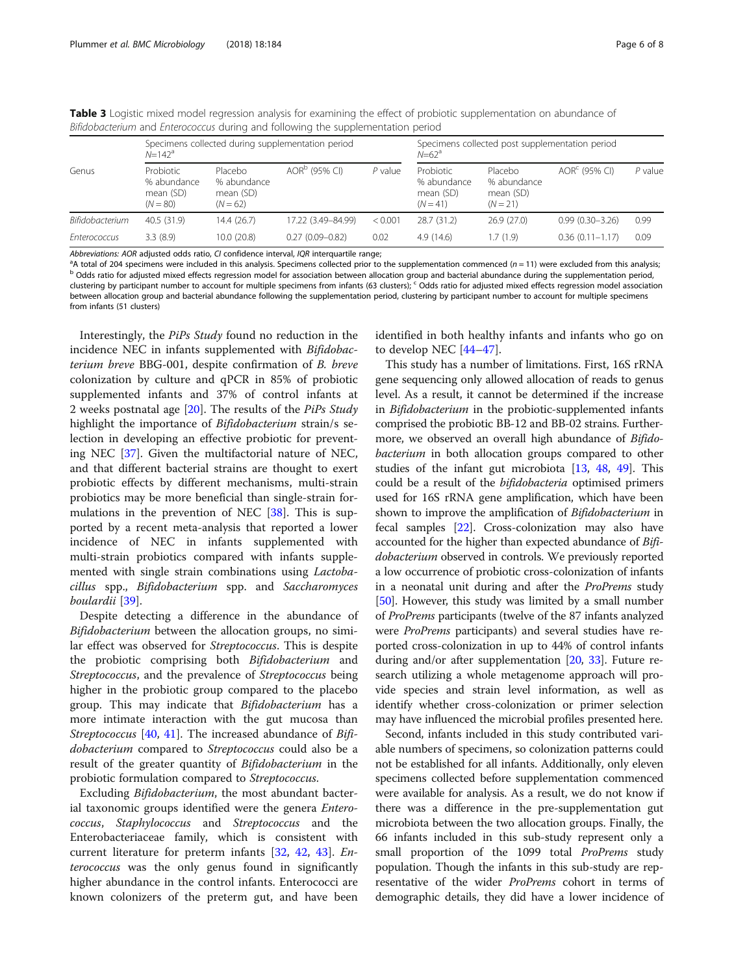|                 | Specimens collected during supplementation period<br>$N = 142^a$ |                                                   |                           | Specimens collected post supplementation period<br>$N = 62^d$ |                                                     |                                                   |                           |           |
|-----------------|------------------------------------------------------------------|---------------------------------------------------|---------------------------|---------------------------------------------------------------|-----------------------------------------------------|---------------------------------------------------|---------------------------|-----------|
| Genus           | Probiotic<br>% abundance<br>mean (SD)<br>$(N = 80)$              | Placebo<br>% abundance<br>mean (SD)<br>$(N = 62)$ | AOR <sup>b</sup> (95% CI) | $P$ value                                                     | Probiotic<br>% abundance<br>mean (SD)<br>$(N = 41)$ | Placebo<br>% abundance<br>mean (SD)<br>$(N = 21)$ | AOR <sup>c</sup> (95% CI) | $P$ value |
| Bifidobacterium | 40.5 (31.9)                                                      | 14.4 (26.7)                                       | 17.22 (3.49-84.99)        | < 0.001                                                       | 28.7 (31.2)                                         | 26.9(27.0)                                        | $0.99(0.30 - 3.26)$       | 0.99      |
| Enterococcus    | 3.3(8.9)                                                         | 10.0(20.8)                                        | $0.27(0.09 - 0.82)$       | 0.02                                                          | 4.9(14.6)                                           | 1.7 (1.9)                                         | $0.36(0.11 - 1.17)$       | 0.09      |

<span id="page-5-0"></span>Table 3 Logistic mixed model regression analysis for examining the effect of probiotic supplementation on abundance of Bifidobacterium and Enterococcus during and following the supplementation period

Abbreviations: AOR adjusted odds ratio, CI confidence interval, IQR interquartile range;<br><sup>a</sup>A total of 204 specimens were included in this analysis. Specimens collected prior to the supplementation commenced (n = 11) were b Odds ratio for adjusted mixed effects regression model for association between allocation group and bacterial abundance during the supplementation period, clustering by participant number to account for multiple specimens from infants (63 clusters);  $c$  Odds ratio for adjusted mixed effects regression model association between allocation group and bacterial abundance following the supplementation period, clustering by participant number to account for multiple specimens from infants (51 clusters)

Interestingly, the PiPs Study found no reduction in the incidence NEC in infants supplemented with Bifidobacterium breve BBG-001, despite confirmation of B. breve colonization by culture and qPCR in 85% of probiotic supplemented infants and 37% of control infants at 2 weeks postnatal age  $[20]$  $[20]$ . The results of the *PiPs Study* highlight the importance of Bifidobacterium strain/s selection in developing an effective probiotic for preventing NEC [[37\]](#page-7-0). Given the multifactorial nature of NEC, and that different bacterial strains are thought to exert probiotic effects by different mechanisms, multi-strain probiotics may be more beneficial than single-strain formulations in the prevention of NEC [[38](#page-7-0)]. This is supported by a recent meta-analysis that reported a lower incidence of NEC in infants supplemented with multi-strain probiotics compared with infants supplemented with single strain combinations using Lactobacillus spp., Bifidobacterium spp. and Saccharomyces boulardii [\[39](#page-7-0)].

Despite detecting a difference in the abundance of Bifidobacterium between the allocation groups, no similar effect was observed for Streptococcus. This is despite the probiotic comprising both Bifidobacterium and Streptococcus, and the prevalence of Streptococcus being higher in the probiotic group compared to the placebo group. This may indicate that Bifidobacterium has a more intimate interaction with the gut mucosa than Streptococcus [[40](#page-7-0), [41](#page-7-0)]. The increased abundance of Bifidobacterium compared to Streptococcus could also be a result of the greater quantity of Bifidobacterium in the probiotic formulation compared to Streptococcus.

Excluding Bifidobacterium, the most abundant bacterial taxonomic groups identified were the genera Enterococcus, Staphylococcus and Streptococcus and the Enterobacteriaceae family, which is consistent with current literature for preterm infants [\[32,](#page-7-0) [42,](#page-7-0) [43](#page-7-0)]. Enterococcus was the only genus found in significantly higher abundance in the control infants. Enterococci are known colonizers of the preterm gut, and have been identified in both healthy infants and infants who go on to develop NEC [\[44](#page-7-0)–[47\]](#page-7-0).

This study has a number of limitations. First, 16S rRNA gene sequencing only allowed allocation of reads to genus level. As a result, it cannot be determined if the increase in Bifidobacterium in the probiotic-supplemented infants comprised the probiotic BB-12 and BB-02 strains. Furthermore, we observed an overall high abundance of Bifido*bacterium* in both allocation groups compared to other studies of the infant gut microbiota [[13,](#page-7-0) [48](#page-7-0), [49](#page-7-0)]. This could be a result of the bifidobacteria optimised primers used for 16S rRNA gene amplification, which have been shown to improve the amplification of *Bifidobacterium* in fecal samples [\[22\]](#page-7-0). Cross-colonization may also have accounted for the higher than expected abundance of Bifidobacterium observed in controls. We previously reported a low occurrence of probiotic cross-colonization of infants in a neonatal unit during and after the ProPrems study [[50](#page-7-0)]. However, this study was limited by a small number of ProPrems participants (twelve of the 87 infants analyzed were ProPrems participants) and several studies have reported cross-colonization in up to 44% of control infants during and/or after supplementation [\[20,](#page-7-0) [33](#page-7-0)]. Future research utilizing a whole metagenome approach will provide species and strain level information, as well as identify whether cross-colonization or primer selection may have influenced the microbial profiles presented here.

Second, infants included in this study contributed variable numbers of specimens, so colonization patterns could not be established for all infants. Additionally, only eleven specimens collected before supplementation commenced were available for analysis. As a result, we do not know if there was a difference in the pre-supplementation gut microbiota between the two allocation groups. Finally, the 66 infants included in this sub-study represent only a small proportion of the 1099 total *ProPrems* study population. Though the infants in this sub-study are representative of the wider ProPrems cohort in terms of demographic details, they did have a lower incidence of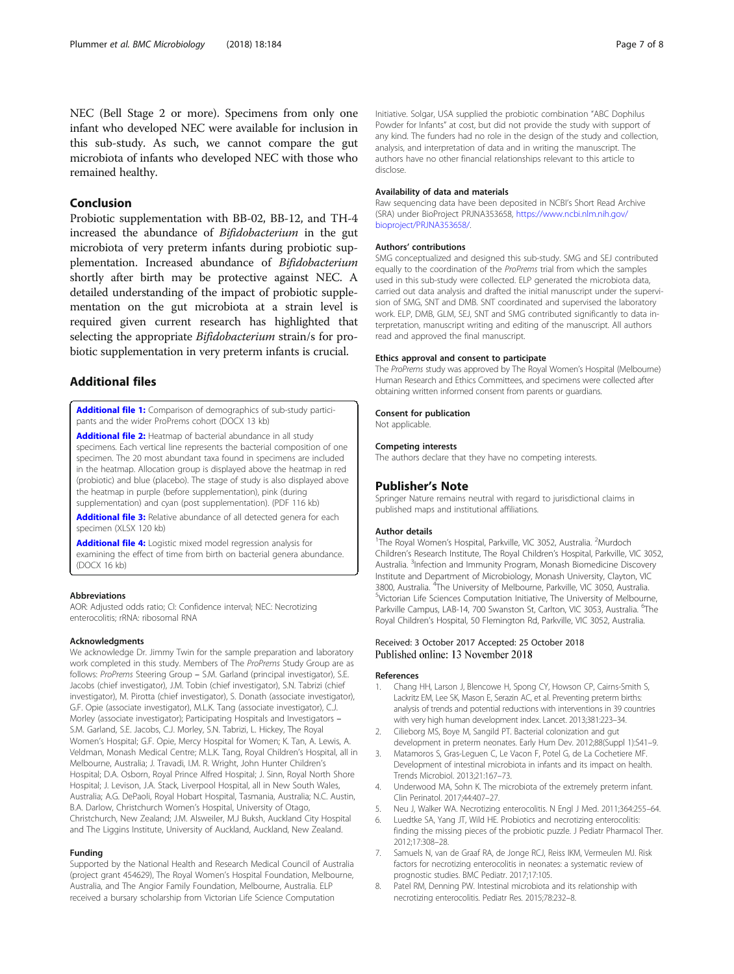## <span id="page-6-0"></span>Conclusion

Probiotic supplementation with BB-02, BB-12, and TH-4 increased the abundance of Bifidobacterium in the gut microbiota of very preterm infants during probiotic supplementation. Increased abundance of Bifidobacterium shortly after birth may be protective against NEC. A detailed understanding of the impact of probiotic supplementation on the gut microbiota at a strain level is required given current research has highlighted that selecting the appropriate *Bifidobacterium* strain/s for probiotic supplementation in very preterm infants is crucial.

## Additional files

[Additional file 1:](https://doi.org/10.1186/s12866-018-1326-1) Comparison of demographics of sub-study participants and the wider ProPrems cohort (DOCX 13 kb)

[Additional file 2:](https://doi.org/10.1186/s12866-018-1326-1) Heatmap of bacterial abundance in all study specimens. Each vertical line represents the bacterial composition of one specimen. The 20 most abundant taxa found in specimens are included in the heatmap. Allocation group is displayed above the heatmap in red (probiotic) and blue (placebo). The stage of study is also displayed above the heatmap in purple (before supplementation), pink (during supplementation) and cyan (post supplementation). (PDF 116 kb)

[Additional file 3:](https://doi.org/10.1186/s12866-018-1326-1) Relative abundance of all detected genera for each specimen (XLSX 120 kb)

[Additional file 4:](https://doi.org/10.1186/s12866-018-1326-1) Logistic mixed model regression analysis for examining the effect of time from birth on bacterial genera abundance. (DOCX 16 kb)

#### Abbreviations

AOR: Adjusted odds ratio; CI: Confidence interval; NEC: Necrotizing enterocolitis; rRNA: ribosomal RNA

#### Acknowledgments

We acknowledge Dr. Jimmy Twin for the sample preparation and laboratory work completed in this study. Members of The ProPrems Study Group are as follows: ProPrems Steering Group – S.M. Garland (principal investigator), S.E. Jacobs (chief investigator), J.M. Tobin (chief investigator), S.N. Tabrizi (chief investigator), M. Pirotta (chief investigator), S. Donath (associate investigator), G.F. Opie (associate investigator), M.L.K. Tang (associate investigator), C.J. Morley (associate investigator); Participating Hospitals and Investigators – S.M. Garland, S.E. Jacobs, C.J. Morley, S.N. Tabrizi, L. Hickey, The Royal Women's Hospital; G.F. Opie, Mercy Hospital for Women; K. Tan, A. Lewis, A. Veldman, Monash Medical Centre; M.L.K. Tang, Royal Children's Hospital, all in Melbourne, Australia; J. Travadi, I.M. R. Wright, John Hunter Children's Hospital; D.A. Osborn, Royal Prince Alfred Hospital; J. Sinn, Royal North Shore Hospital; J. Levison, J.A. Stack, Liverpool Hospital, all in New South Wales, Australia; A.G. DePaoli, Royal Hobart Hospital, Tasmania, Australia; N.C. Austin, B.A. Darlow, Christchurch Women's Hospital, University of Otago, Christchurch, New Zealand; J.M. Alsweiler, M.J Buksh, Auckland City Hospital and The Liggins Institute, University of Auckland, Auckland, New Zealand.

#### Funding

Supported by the National Health and Research Medical Council of Australia (project grant 454629), The Royal Women's Hospital Foundation, Melbourne, Australia, and The Angior Family Foundation, Melbourne, Australia. ELP received a bursary scholarship from Victorian Life Science Computation

Initiative. Solgar, USA supplied the probiotic combination "ABC Dophilus Powder for Infants" at cost, but did not provide the study with support of any kind. The funders had no role in the design of the study and collection, analysis, and interpretation of data and in writing the manuscript. The authors have no other financial relationships relevant to this article to disclose.

#### Availability of data and materials

Raw sequencing data have been deposited in NCBI's Short Read Archive (SRA) under BioProject PRJNA353658, [https://www.ncbi.nlm.nih.gov/](https://www.ncbi.nlm.nih.gov/bioproject/PRJNA353658/) [bioproject/PRJNA353658/](https://www.ncbi.nlm.nih.gov/bioproject/PRJNA353658/).

## Authors' contributions

SMG conceptualized and designed this sub-study. SMG and SEJ contributed equally to the coordination of the ProPrems trial from which the samples used in this sub-study were collected. ELP generated the microbiota data, carried out data analysis and drafted the initial manuscript under the supervision of SMG, SNT and DMB. SNT coordinated and supervised the laboratory work. ELP, DMB, GLM, SEJ, SNT and SMG contributed significantly to data interpretation, manuscript writing and editing of the manuscript. All authors read and approved the final manuscript.

#### Ethics approval and consent to participate

The ProPrems study was approved by The Royal Women's Hospital (Melbourne) Human Research and Ethics Committees, and specimens were collected after obtaining written informed consent from parents or guardians.

#### Consent for publication

Not applicable.

#### Competing interests

The authors declare that they have no competing interests.

#### Publisher's Note

Springer Nature remains neutral with regard to jurisdictional claims in published maps and institutional affiliations.

## Author details

<sup>1</sup>The Royal Women's Hospital, Parkville, VIC 3052, Australia. <sup>2</sup>Murdoch Children's Research Institute, The Royal Children's Hospital, Parkville, VIC 3052, Australia. <sup>3</sup>Infection and Immunity Program, Monash Biomedicine Discovery Institute and Department of Microbiology, Monash University, Clayton, VIC 3800, Australia. <sup>4</sup>The University of Melbourne, Parkville, VIC 3050, Australia.<br><sup>5</sup>Victorian Life Sciences Computation Initiative The University of Melbourn <sup>5</sup>Victorian Life Sciences Computation Initiative, The University of Melbourne, Parkville Campus, LAB-14, 700 Swanston St, Carlton, VIC 3053, Australia. <sup>6</sup>The Royal Children's Hospital, 50 Flemington Rd, Parkville, VIC 3052, Australia.

## Received: 3 October 2017 Accepted: 25 October 2018<br>Published online: 13 November 2018

## References

- 1. Chang HH, Larson J, Blencowe H, Spong CY, Howson CP, Cairns-Smith S, Lackritz EM, Lee SK, Mason E, Serazin AC, et al. Preventing preterm births: analysis of trends and potential reductions with interventions in 39 countries with very high human development index. Lancet. 2013;381:223–34.
- 2. Cilieborg MS, Boye M, Sangild PT. Bacterial colonization and gut development in preterm neonates. Early Hum Dev. 2012;88(Suppl 1):S41–9.
- 3. Matamoros S, Gras-Leguen C, Le Vacon F, Potel G, de La Cochetiere MF. Development of intestinal microbiota in infants and its impact on health. Trends Microbiol. 2013;21:167–73.
- 4. Underwood MA, Sohn K. The microbiota of the extremely preterm infant. Clin Perinatol. 2017;44:407–27.
- 5. Neu J, Walker WA. Necrotizing enterocolitis. N Engl J Med. 2011;364:255–64.
- Luedtke SA, Yang JT, Wild HE. Probiotics and necrotizing enterocolitis: finding the missing pieces of the probiotic puzzle. J Pediatr Pharmacol Ther. 2012;17:308–28.
- 7. Samuels N, van de Graaf RA, de Jonge RCJ, Reiss IKM, Vermeulen MJ. Risk factors for necrotizing enterocolitis in neonates: a systematic review of prognostic studies. BMC Pediatr. 2017;17:105.
- 8. Patel RM, Denning PW. Intestinal microbiota and its relationship with necrotizing enterocolitis. Pediatr Res. 2015;78:232–8.